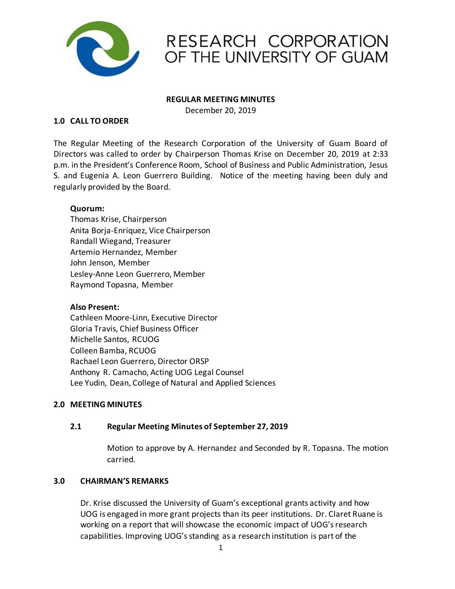

## RESEARCH CORPORATION OF THE UNIVERSITY OF GUAM

#### **REGULAR MEETING MINUTES**

December 20, 2019

#### **1.0 CALL TO ORDER**

The Regular Meeting of the Research Corporation of the University of Guam Board of Directors was called to order by Chairperson Thomas Krise on December 20, 2019 at 2:33 p.m. in the President's Conference Room, School of Business and Public Administration, Jesus S. and Eugenia A. Leon Guerrero Building. Notice of the meeting having been duly and regularly provided by the Board.

#### **Quorum:**

Thomas Krise, Chairperson Anita Borja-Enriquez, Vice Chairperson Randall Wiegand, Treasurer Artemio Hernandez, Member John Jenson, Member Lesley-Anne Leon Guerrero, Member Raymond Topasna, Member

#### **Also Present:**

Cathleen Moore-Linn, Executive Director Gloria Travis, Chief Business Officer Michelle Santos, RCUOG Colleen Bamba, RCUOG Rachael Leon Guerrero, Director ORSP Anthony R. Camacho, Acting UOG Legal Counsel Lee Yudin, Dean, College of Natural and Applied Sciences

#### **2.0 MEETING MINUTES**

#### **2.1 Regular Meeting Minutes of September 27, 2019**

Motion to approve by A. Hernandez and Seconded by R. Topasna. The motion carried.

#### **3.0 CHAIRMAN'S REMARKS**

Dr. Krise discussed the University of Guam's exceptional grants activity and how UOG is engaged in more grant projects than its peer institutions. Dr. Claret Ruane is working on a report that will showcase the economic impact of UOG's research capabilities. Improving UOG's standing as a research institution is part of the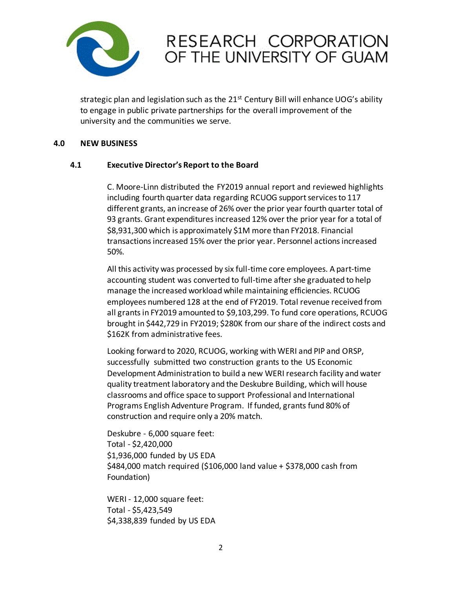

# RESEARCH CORPORATION OF THE UNIVERSITY OF GUAM

strategic plan and legislation such as the  $21^{st}$  Century Bill will enhance UOG's ability to engage in public private partnerships for the overall improvement of the university and the communities we serve.

#### **4.0 NEW BUSINESS**

#### **4.1 Executive Director's Report to the Board**

C. Moore-Linn distributed the FY2019 annual report and reviewed highlights including fourth quarter data regarding RCUOG support services to 117 different grants, an increase of 26% over the prior year fourth quarter total of 93 grants. Grant expenditures increased 12% over the prior year for a total of \$8,931,300 which is approximately \$1M more than FY2018. Financial transactions increased 15% over the prior year. Personnel actions increased 50%.

All this activity was processed by six full-time core employees. A part-time accounting student was converted to full-time after she graduated to help manage the increased workload while maintaining efficiencies. RCUOG employees numbered 128 at the end of FY2019. Total revenue received from all grants in FY2019 amounted to \$9,103,299. To fund core operations, RCUOG brought in \$442,729 in FY2019; \$280K from our share of the indirect costs and \$162K from administrative fees.

Looking forward to 2020, RCUOG, working with WERI and PIP and ORSP, successfully submitted two construction grants to the US Economic Development Administration to build a new WERI research facility and water quality treatment laboratory and the Deskubre Building, which will house classrooms and office space to support Professional and International Programs English Adventure Program. If funded, grants fund 80% of construction and require only a 20% match.

Deskubre - 6,000 square feet: Total - \$2,420,000 \$1,936,000 funded by US EDA \$484,000 match required (\$106,000 land value + \$378,000 cash from Foundation)

WERI - 12,000 square feet: Total - \$5,423,549 \$4,338,839 funded by US EDA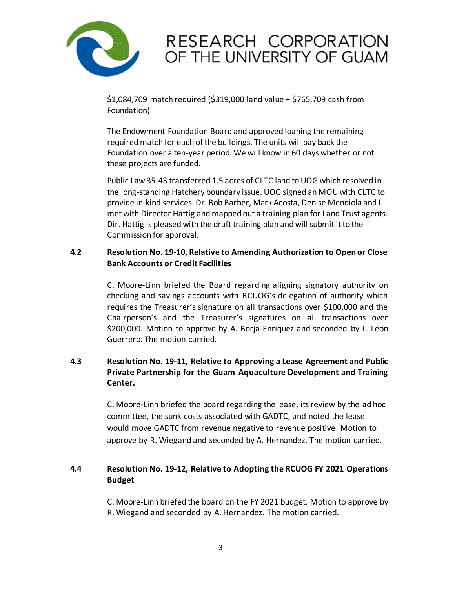

# RESEARCH CORPORATION OF THE UNIVERSITY OF GUAM

\$1,084,709 match required (\$319,000 land value + \$765,709 cash from Foundation)

The Endowment Foundation Board and approved loaning the remaining required match for each of the buildings. The units will pay back the Foundation over a ten-year period. We will know in 60 days whether or not these projects are funded.

Public Law 35-43 transferred 1.5 acres of CLTC land to UOG which resolved in the long-standing Hatchery boundary issue. UOG signed an MOU with CLTC to provide in-kind services. Dr. Bob Barber, Mark Acosta, Denise Mendiola and I met with Director Hattig and mapped out a training plan for Land Trust agents. Dir. Hattig is pleased with the draft training plan and will submit it to the Commission for approval.

## **4.2 Resolution No. 19-10, Relative to Amending Authorization to Open or Close Bank Accounts or Credit Facilities**

C. Moore-Linn briefed the Board regarding aligning signatory authority on checking and savings accounts with RCUOG's delegation of authority which requires the Treasurer's signature on all transactions over \$100,000 and the Chairperson's and the Treasurer's signatures on all transactions over \$200,000. Motion to approve by A. Borja-Enriquez and seconded by L. Leon Guerrero. The motion carried.

## **4.3 Resolution No. 19-11, Relative to Approving a Lease Agreement and Public Private Partnership for the Guam Aquaculture Development and Training Center.**

C. Moore-Linn briefed the board regarding the lease, its review by the ad hoc committee, the sunk costs associated with GADTC, and noted the lease would move GADTC from revenue negative to revenue positive. Motion to approve by R. Wiegand and seconded by A. Hernandez. The motion carried.

## **4.4 Resolution No. 19-12, Relative to Adopting the RCUOG FY 2021 Operations Budget**

C. Moore-Linn briefed the board on the FY 2021 budget. Motion to approve by R. Wiegand and seconded by A. Hernandez. The motion carried.